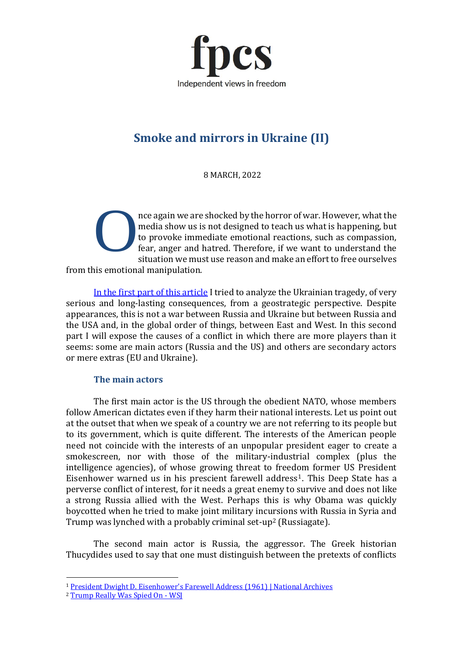

# **Smoke and mirrors in Ukraine (II)**

8 MARCH, 2022

nce again we are shocked by the horror of war. However, what the media show us is not designed to teach us what is happening, but to provoke immediate emotional reactions, such as compassion, fear, anger and hatred. Therefore, if we want to understand the situation we must use reason and make an effort to free ourselves from this emotional manipulation. O

[In the first part of this article](https://www.fpcs.es/en/smoke-and-mirrors-in-ukraine-i/) I tried to analyze the Ukrainian tragedy, of very serious and long-lasting consequences, from a geostrategic perspective. Despite appearances, this is not a war between Russia and Ukraine but between Russia and the USA and, in the global order of things, between East and West. In this second part I will expose the causes of a conflict in which there are more players than it seems: some are main actors (Russia and the US) and others are secondary actors or mere extras (EU and Ukraine).

### **The main actors**

The first main actor is the US through the obedient NATO, whose members follow American dictates even if they harm their national interests. Let us point out at the outset that when we speak of a country we are not referring to its people but to its government, which is quite different. The interests of the American people need not coincide with the interests of an unpopular president eager to create a smokescreen, nor with those of the military-industrial complex (plus the intelligence agencies), of whose growing threat to freedom former US President Eisenhower warned us in his prescient farewell address1. This Deep State has a perverse conflict of interest, for it needs a great enemy to survive and does not like a strong Russia allied with the West. Perhaps this is why Obama was quickly boycotted when he tried to make joint military incursions with Russia in Syria and Trump was lynched with a probably criminal set-up<sup>2</sup> (Russiagate).

The second main actor is Russia, the aggressor. The Greek historian Thucydides used to say that one must distinguish between the pretexts of conflicts

<sup>&</sup>lt;sup>1</sup> [President Dwight D. Eisenhower's Farewell Address \(1961\) | National Archives](https://www.archives.gov/milestone-documents/president-dwight-d-eisenhowers-farewell-address)

<sup>&</sup>lt;sup>2</sup> [Trump Really Was Spied On -](https://www.wsj.com/articles/donald-trump-really-was-spied-on-2016-clinton-campaign-john-durham-court-filing-11644878973) WSI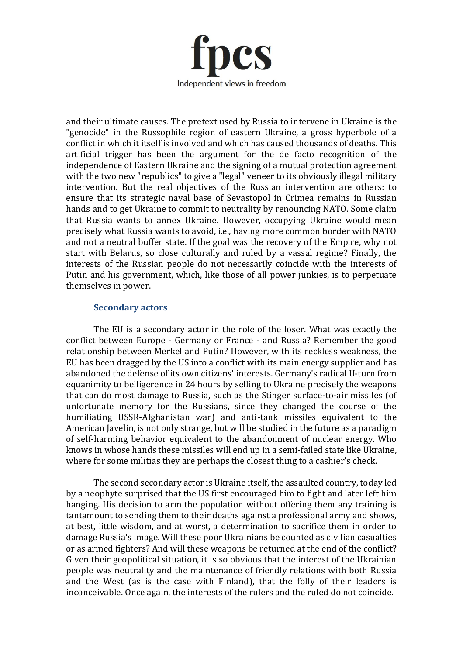

and their ultimate causes. The pretext used by Russia to intervene in Ukraine is the "genocide" in the Russophile region of eastern Ukraine, a gross hyperbole of a conflict in which it itself is involved and which has caused thousands of deaths. This artificial trigger has been the argument for the de facto recognition of the independence of Eastern Ukraine and the signing of a mutual protection agreement with the two new "republics" to give a "legal" veneer to its obviously illegal military intervention. But the real objectives of the Russian intervention are others: to ensure that its strategic naval base of Sevastopol in Crimea remains in Russian hands and to get Ukraine to commit to neutrality by renouncing NATO. Some claim that Russia wants to annex Ukraine. However, occupying Ukraine would mean precisely what Russia wants to avoid, i.e., having more common border with NATO and not a neutral buffer state. If the goal was the recovery of the Empire, why not start with Belarus, so close culturally and ruled by a vassal regime? Finally, the interests of the Russian people do not necessarily coincide with the interests of Putin and his government, which, like those of all power junkies, is to perpetuate themselves in power.

#### **Secondary actors**

The EU is a secondary actor in the role of the loser. What was exactly the conflict between Europe - Germany or France - and Russia? Remember the good relationship between Merkel and Putin? However, with its reckless weakness, the EU has been dragged by the US into a conflict with its main energy supplier and has abandoned the defense of its own citizens' interests. Germany's radical U-turn from equanimity to belligerence in 24 hours by selling to Ukraine precisely the weapons that can do most damage to Russia, such as the Stinger surface-to-air missiles (of unfortunate memory for the Russians, since they changed the course of the humiliating USSR-Afghanistan war) and anti-tank missiles equivalent to the American Javelin, is not only strange, but will be studied in the future as a paradigm of self-harming behavior equivalent to the abandonment of nuclear energy. Who knows in whose hands these missiles will end up in a semi-failed state like Ukraine, where for some militias they are perhaps the closest thing to a cashier's check.

The second secondary actor is Ukraine itself, the assaulted country, today led by a neophyte surprised that the US first encouraged him to fight and later left him hanging. His decision to arm the population without offering them any training is tantamount to sending them to their deaths against a professional army and shows, at best, little wisdom, and at worst, a determination to sacrifice them in order to damage Russia's image. Will these poor Ukrainians be counted as civilian casualties or as armed fighters? And will these weapons be returned at the end of the conflict? Given their geopolitical situation, it is so obvious that the interest of the Ukrainian people was neutrality and the maintenance of friendly relations with both Russia and the West (as is the case with Finland), that the folly of their leaders is inconceivable. Once again, the interests of the rulers and the ruled do not coincide.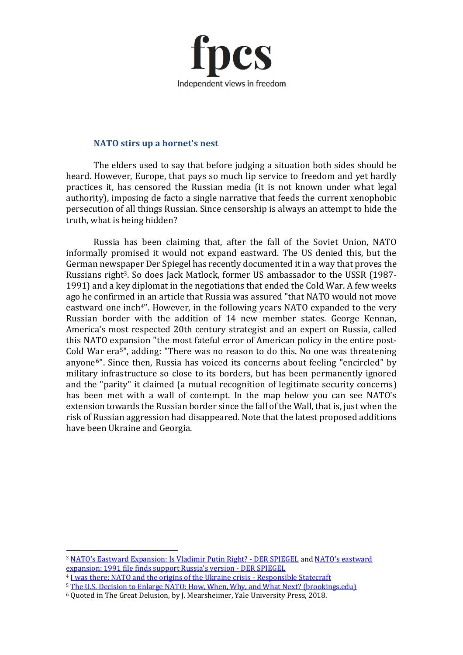

#### **NATO stirs up a hornet's nest**

The elders used to say that before judging a situation both sides should be heard. However, Europe, that pays so much lip service to freedom and yet hardly practices it, has censored the Russian media (it is not known under what legal authority), imposing de facto a single narrative that feeds the current xenophobic persecution of all things Russian. Since censorship is always an attempt to hide the truth, what is being hidden?

Russia has been claiming that, after the fall of the Soviet Union, NATO informally promised it would not expand eastward. The US denied this, but the German newspaper Der Spiegel has recently documented it in a way that proves the Russians right<sup>3</sup>. So does Jack Matlock, former US ambassador to the USSR (1987-1991) and a key diplomat in the negotiations that ended the Cold War. A few weeks ago he confirmed in an article that Russia was assured "that NATO would not move eastward one inch<sup>4"</sup>. However, in the following years NATO expanded to the very Russian border with the addition of 14 new member states. George Kennan, America's most respected 20th century strategist and an expert on Russia, called this NATO expansion "the most fateful error of American policy in the entire post-Cold War era5", adding: "There was no reason to do this. No one was threatening anyone6". Since then, Russia has voiced its concerns about feeling "encircled" by military infrastructure so close to its borders, but has been permanently ignored and the "parity" it claimed (a mutual recognition of legitimate security concerns) has been met with a wall of contempt. In the map below you can see NATO's extension towards the Russian border since the fall of the Wall, that is, just when the risk of Russian aggression had disappeared. Note that the latest proposed additions have been Ukraine and Georgia.

<sup>3</sup> [NATO's Eastward Expansion: Is Vladimir Putin Right? -](https://www.spiegel.de/international/world/nato-s-eastward-expansion-is-vladimir-putin-right-a-bf318d2c-7aeb-4b59-8d5f-1d8c94e1964d-amp) DER SPIEGEL an[d NATO's eastward](https://www.spiegel.de/ausland/nato-osterweiterung-aktenfund-stuetzt-russische-version-a-1613d467-bd72-4f02-8e16-2cd6d3285295)  [expansion: 1991 file finds support Russia's version -](https://www.spiegel.de/ausland/nato-osterweiterung-aktenfund-stuetzt-russische-version-a-1613d467-bd72-4f02-8e16-2cd6d3285295) DER SPIEGEL

<sup>4</sup> [I was there: NATO and the origins of the Ukraine crisis -](https://responsiblestatecraft.org/2022/02/15/the-origins-of-the-ukraine-crisis-and-how-conflict-can-be-avoided/) Responsible Statecraft

<sup>&</sup>lt;sup>5</sup> [The U.S. Decision to Enlarge NATO: How, When, Why, and What Next? \(brookings.edu\)](https://www.brookings.edu/articles/the-u-s-decision-to-enlarge-nato-how-when-why-and-what-next/)

<sup>6</sup> Quoted in The Great Delusion, by J. Mearsheimer, Yale University Press, 2018.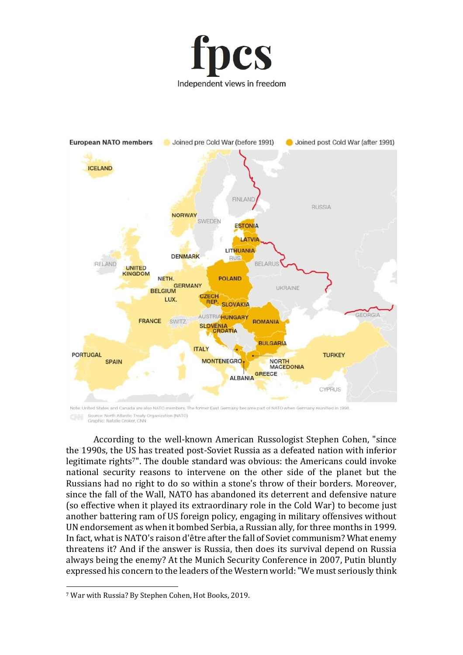



Source: North Atlantic Treaty Organization (NATO) Graphic: Natalie Croker, CNN

According to the well-known American Russologist Stephen Cohen, "since the 1990s, the US has treated post-Soviet Russia as a defeated nation with inferior legitimate rights<sup>7"</sup>. The double standard was obvious: the Americans could invoke national security reasons to intervene on the other side of the planet but the Russians had no right to do so within a stone's throw of their borders. Moreover, since the fall of the Wall, NATO has abandoned its deterrent and defensive nature (so effective when it played its extraordinary role in the Cold War) to become just another battering ram of US foreign policy, engaging in military offensives without UN endorsement as when it bombed Serbia, a Russian ally, for three months in 1999. In fact, what is NATO's raison d'être after the fall of Soviet communism? What enemy threatens it? And if the answer is Russia, then does its survival depend on Russia always being the enemy? At the Munich Security Conference in 2007, Putin bluntly expressed his concern to the leaders of the Western world: "We must seriously think

<sup>7</sup> War with Russia? By Stephen Cohen, Hot Books, 2019.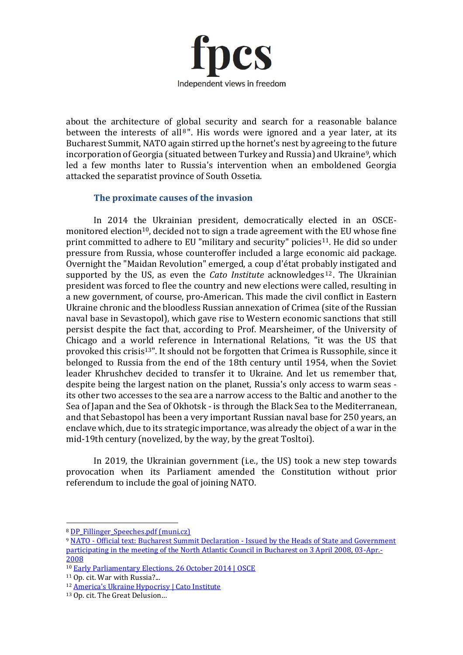

about the architecture of global security and search for a reasonable balance between the interests of all<sup>8</sup>". His words were ignored and a year later, at its Bucharest Summit, NATO again stirred up the hornet's nest by agreeing to the future incorporation of Georgia (situated between Turkey and Russia) and Ukraine<sup>9</sup>, which led a few months later to Russia's intervention when an emboldened Georgia attacked the separatist province of South Ossetia.

## **The proximate causes of the invasion**

In 2014 the Ukrainian president, democratically elected in an OSCEmonitored election<sup>10</sup>, decided not to sign a trade agreement with the EU whose fine print committed to adhere to EU "military and security" policies<sup>11</sup>. He did so under pressure from Russia, whose counteroffer included a large economic aid package. Overnight the "Maidan Revolution" emerged, a coup d'état probably instigated and supported by the US, as even the *Cato Institute* acknowledges<sup>12</sup>. The Ukrainian president was forced to flee the country and new elections were called, resulting in a new government, of course, pro-American. This made the civil conflict in Eastern Ukraine chronic and the bloodless Russian annexation of Crimea (site of the Russian naval base in Sevastopol), which gave rise to Western economic sanctions that still persist despite the fact that, according to Prof. Mearsheimer, of the University of Chicago and a world reference in International Relations, "it was the US that provoked this crisis<sup>13"</sup>. It should not be forgotten that Crimea is Russophile, since it belonged to Russia from the end of the 18th century until 1954, when the Soviet leader Khrushchev decided to transfer it to Ukraine. And let us remember that, despite being the largest nation on the planet, Russia's only access to warm seas its other two accesses to the sea are a narrow access to the Baltic and another to the Sea of Japan and the Sea of Okhotsk - is through the Black Sea to the Mediterranean, and that Sebastopol has been a very important Russian naval base for 250 years, an enclave which, due to its strategic importance, was already the object of a war in the mid-19th century (novelized, by the way, by the great Tosltoi).

In 2019, the Ukrainian government (i.e., the US) took a new step towards provocation when its Parliament amended the Constitution without prior referendum to include the goal of joining NATO.

<sup>&</sup>lt;sup>8</sup> [DP\\_Fillinger\\_Speeches.pdf \(muni.cz\)](https://is.muni.cz/th/xlghl/DP_Fillinger_Speeches.pdf)

<sup>9</sup> NATO - Official text: Bucharest Summit Declaration - [Issued by the Heads of State and Government](https://www.nato.int/cps/en/natolive/official_texts_8443.htm)  [participating in the meeting of the North Atlantic Council in Bucharest on 3 April 2008, 03-Apr.-](https://www.nato.int/cps/en/natolive/official_texts_8443.htm) [2008](https://www.nato.int/cps/en/natolive/official_texts_8443.htm)

<sup>10</sup> [Early Parliamentary Elections, 26 October 2014 | OSCE](https://www.osce.org/odihr/elections/ukraine/123759)

<sup>11</sup> Op. cit. War with Russia?...

<sup>&</sup>lt;sup>12</sup> [America's Ukraine Hypocrisy | Cato Institute](https://www.cato.org/commentary/americas-ukraine-hypocrisy)

<sup>13</sup> Op. cit. The Great Delusion…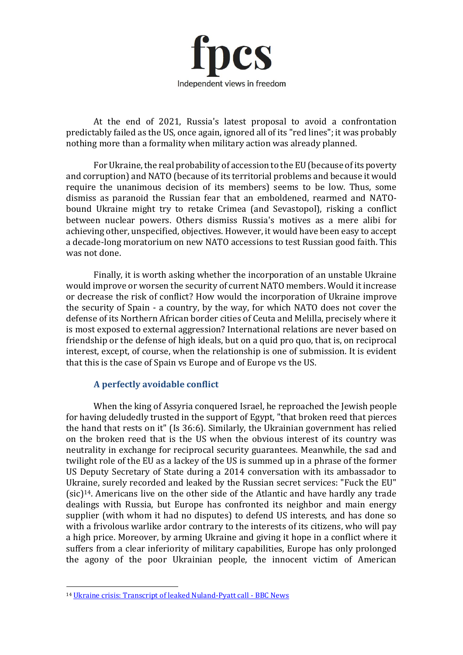

At the end of 2021, Russia's latest proposal to avoid a confrontation predictably failed as the US, once again, ignored all of its "red lines"; it was probably nothing more than a formality when military action was already planned.

For Ukraine, the real probability of accession to the EU (because of its poverty and corruption) and NATO (because of its territorial problems and because it would require the unanimous decision of its members) seems to be low. Thus, some dismiss as paranoid the Russian fear that an emboldened, rearmed and NATObound Ukraine might try to retake Crimea (and Sevastopol), risking a conflict between nuclear powers. Others dismiss Russia's motives as a mere alibi for achieving other, unspecified, objectives. However, it would have been easy to accept a decade-long moratorium on new NATO accessions to test Russian good faith. This was not done.

Finally, it is worth asking whether the incorporation of an unstable Ukraine would improve or worsen the security of current NATO members. Would it increase or decrease the risk of conflict? How would the incorporation of Ukraine improve the security of Spain - a country, by the way, for which NATO does not cover the defense of its Northern African border cities of Ceuta and Melilla, precisely where it is most exposed to external aggression? International relations are never based on friendship or the defense of high ideals, but on a quid pro quo, that is, on reciprocal interest, except, of course, when the relationship is one of submission. It is evident that this is the case of Spain vs Europe and of Europe vs the US.

#### **A perfectly avoidable conflict**

When the king of Assyria conquered Israel, he reproached the Jewish people for having deludedly trusted in the support of Egypt, "that broken reed that pierces the hand that rests on it" (Is 36:6). Similarly, the Ukrainian government has relied on the broken reed that is the US when the obvious interest of its country was neutrality in exchange for reciprocal security guarantees. Meanwhile, the sad and twilight role of the EU as a lackey of the US is summed up in a phrase of the former US Deputy Secretary of State during a 2014 conversation with its ambassador to Ukraine, surely recorded and leaked by the Russian secret services: "Fuck the EU" (sic)14. Americans live on the other side of the Atlantic and have hardly any trade dealings with Russia, but Europe has confronted its neighbor and main energy supplier (with whom it had no disputes) to defend US interests, and has done so with a frivolous warlike ardor contrary to the interests of its citizens, who will pay a high price. Moreover, by arming Ukraine and giving it hope in a conflict where it suffers from a clear inferiority of military capabilities, Europe has only prolonged the agony of the poor Ukrainian people, the innocent victim of American

<sup>14</sup> [Ukraine crisis: Transcript of leaked Nuland-Pyatt call -](https://www.bbc.com/news/world-europe-26079957) BBC News